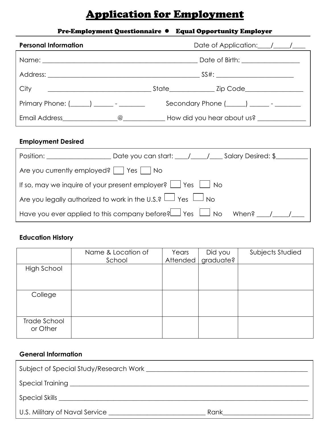# Application for Employment

# Pre-Employment Questionnaire ⚫ Equal Opportunity Employer

| <b>Personal Information</b>                    | Date of Application: / / /                                                                                      |
|------------------------------------------------|-----------------------------------------------------------------------------------------------------------------|
|                                                | Date of Birth: <u>________________</u>                                                                          |
|                                                |                                                                                                                 |
|                                                |                                                                                                                 |
| Primary Phone: $(\_\_\_\_)$ _______ - ________ |                                                                                                                 |
|                                                | Email Address Communication Communication Communication Communication Communication Communication Communication |

#### **Employment Desired**

| Position: <b>Example 2019</b>                      | Date you can start: \builty \builty Desired: \$                                          |  |
|----------------------------------------------------|------------------------------------------------------------------------------------------|--|
| Are you currently employed? $ $ $ $ Yes $ $ $ $ No |                                                                                          |  |
|                                                    | If so, may we inquire of your present employer? $\Box$ Yes $\Box$ No                     |  |
|                                                    | Are you legally authorized to work in the U.S.? $\Box$ Yes $\Box$ No                     |  |
|                                                    | Have you ever applied to this company before? $\Box$ Yes $\Box$ No When? $\Box$ / $\Box$ |  |

# **Education History**

|                          | Name & Location of<br>School | Years<br>Attended | Did you<br>graduate? | Subjects Studied |
|--------------------------|------------------------------|-------------------|----------------------|------------------|
| High School              |                              |                   |                      |                  |
| College                  |                              |                   |                      |                  |
| Trade School<br>or Other |                              |                   |                      |                  |

## **General Information**

| Subject of Special Study/Research Work |      |
|----------------------------------------|------|
|                                        |      |
| Special Skills <b>Special Skills</b>   |      |
| U.S. Military of Naval Service         | Rank |